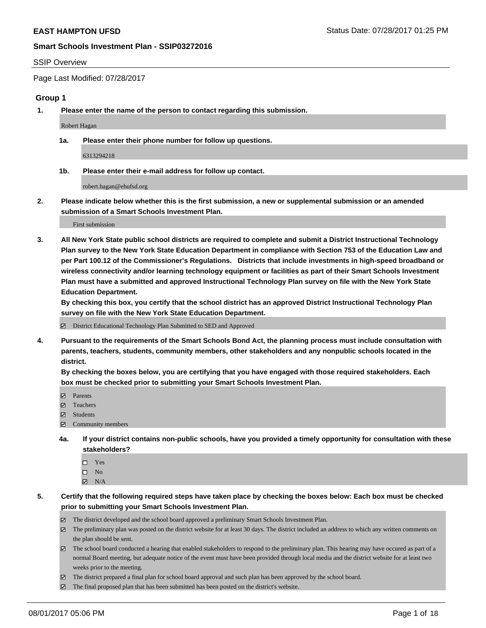#### SSIP Overview

Page Last Modified: 07/28/2017

### **Group 1**

**1. Please enter the name of the person to contact regarding this submission.**

Robert Hagan

**1a. Please enter their phone number for follow up questions.**

6313294218

**1b. Please enter their e-mail address for follow up contact.**

robert.hagan@ehufsd.org

**2. Please indicate below whether this is the first submission, a new or supplemental submission or an amended submission of a Smart Schools Investment Plan.**

First submission

**3. All New York State public school districts are required to complete and submit a District Instructional Technology Plan survey to the New York State Education Department in compliance with Section 753 of the Education Law and per Part 100.12 of the Commissioner's Regulations. Districts that include investments in high-speed broadband or wireless connectivity and/or learning technology equipment or facilities as part of their Smart Schools Investment Plan must have a submitted and approved Instructional Technology Plan survey on file with the New York State Education Department.** 

**By checking this box, you certify that the school district has an approved District Instructional Technology Plan survey on file with the New York State Education Department.**

District Educational Technology Plan Submitted to SED and Approved

**4. Pursuant to the requirements of the Smart Schools Bond Act, the planning process must include consultation with parents, teachers, students, community members, other stakeholders and any nonpublic schools located in the district.** 

**By checking the boxes below, you are certifying that you have engaged with those required stakeholders. Each box must be checked prior to submitting your Smart Schools Investment Plan.**

- **マ** Parents
- □ Teachers
- Students
- $\Xi$  Community members
- **4a. If your district contains non-public schools, have you provided a timely opportunity for consultation with these stakeholders?**
	- Yes
	- $\hfill \square$  No
	- $\boxtimes$  N/A
- **5. Certify that the following required steps have taken place by checking the boxes below: Each box must be checked prior to submitting your Smart Schools Investment Plan.**
	- The district developed and the school board approved a preliminary Smart Schools Investment Plan.
	- $\boxtimes$  The preliminary plan was posted on the district website for at least 30 days. The district included an address to which any written comments on the plan should be sent.
	- $\boxtimes$  The school board conducted a hearing that enabled stakeholders to respond to the preliminary plan. This hearing may have occured as part of a normal Board meeting, but adequate notice of the event must have been provided through local media and the district website for at least two weeks prior to the meeting.
	- The district prepared a final plan for school board approval and such plan has been approved by the school board.
	- $\boxtimes$  The final proposed plan that has been submitted has been posted on the district's website.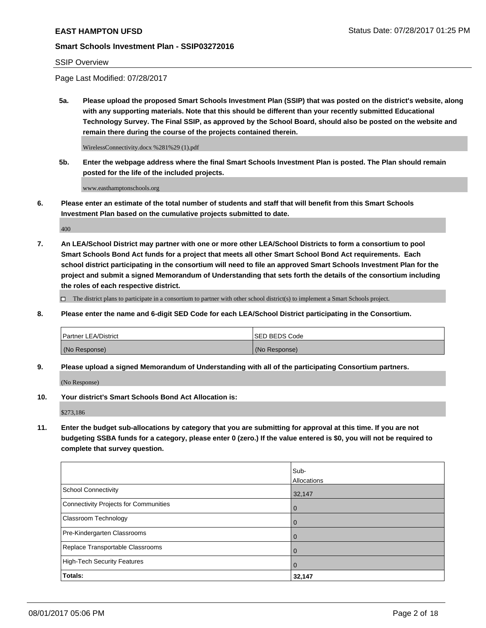## SSIP Overview

Page Last Modified: 07/28/2017

**5a. Please upload the proposed Smart Schools Investment Plan (SSIP) that was posted on the district's website, along with any supporting materials. Note that this should be different than your recently submitted Educational Technology Survey. The Final SSIP, as approved by the School Board, should also be posted on the website and remain there during the course of the projects contained therein.**

WirelessConnectivity.docx %281%29 (1).pdf

**5b. Enter the webpage address where the final Smart Schools Investment Plan is posted. The Plan should remain posted for the life of the included projects.**

www.easthamptonschools.org

**6. Please enter an estimate of the total number of students and staff that will benefit from this Smart Schools Investment Plan based on the cumulative projects submitted to date.**

400

**7. An LEA/School District may partner with one or more other LEA/School Districts to form a consortium to pool Smart Schools Bond Act funds for a project that meets all other Smart School Bond Act requirements. Each school district participating in the consortium will need to file an approved Smart Schools Investment Plan for the project and submit a signed Memorandum of Understanding that sets forth the details of the consortium including the roles of each respective district.**

 $\Box$  The district plans to participate in a consortium to partner with other school district(s) to implement a Smart Schools project.

**8. Please enter the name and 6-digit SED Code for each LEA/School District participating in the Consortium.**

| <b>Partner LEA/District</b> | <b>ISED BEDS Code</b> |
|-----------------------------|-----------------------|
| (No Response)               | (No Response)         |

**9. Please upload a signed Memorandum of Understanding with all of the participating Consortium partners.**

(No Response)

**10. Your district's Smart Schools Bond Act Allocation is:**

\$273,186

**11. Enter the budget sub-allocations by category that you are submitting for approval at this time. If you are not budgeting SSBA funds for a category, please enter 0 (zero.) If the value entered is \$0, you will not be required to complete that survey question.**

|                                       | Sub-           |
|---------------------------------------|----------------|
|                                       | Allocations    |
| <b>School Connectivity</b>            | 32,147         |
| Connectivity Projects for Communities | 0              |
| Classroom Technology                  | 0              |
| Pre-Kindergarten Classrooms           | $\mathbf 0$    |
| Replace Transportable Classrooms      | 0              |
| <b>High-Tech Security Features</b>    | $\overline{0}$ |
| Totals:                               | 32,147         |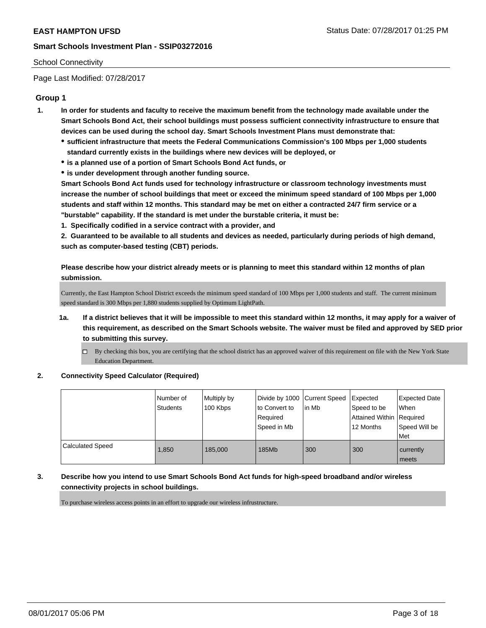## School Connectivity

Page Last Modified: 07/28/2017

# **Group 1**

- **1. In order for students and faculty to receive the maximum benefit from the technology made available under the Smart Schools Bond Act, their school buildings must possess sufficient connectivity infrastructure to ensure that devices can be used during the school day. Smart Schools Investment Plans must demonstrate that:**
	- **sufficient infrastructure that meets the Federal Communications Commission's 100 Mbps per 1,000 students standard currently exists in the buildings where new devices will be deployed, or**
	- **is a planned use of a portion of Smart Schools Bond Act funds, or**
	- **is under development through another funding source.**

**Smart Schools Bond Act funds used for technology infrastructure or classroom technology investments must increase the number of school buildings that meet or exceed the minimum speed standard of 100 Mbps per 1,000 students and staff within 12 months. This standard may be met on either a contracted 24/7 firm service or a "burstable" capability. If the standard is met under the burstable criteria, it must be:**

**1. Specifically codified in a service contract with a provider, and**

**2. Guaranteed to be available to all students and devices as needed, particularly during periods of high demand, such as computer-based testing (CBT) periods.**

**Please describe how your district already meets or is planning to meet this standard within 12 months of plan submission.**

Currently, the East Hampton School District exceeds the minimum speed standard of 100 Mbps per 1,000 students and staff. The current minimum speed standard is 300 Mbps per 1,880 students supplied by Optimum LightPath.

- **1a. If a district believes that it will be impossible to meet this standard within 12 months, it may apply for a waiver of this requirement, as described on the Smart Schools website. The waiver must be filed and approved by SED prior to submitting this survey.**
	- By checking this box, you are certifying that the school district has an approved waiver of this requirement on file with the New York State Education Department.
- **2. Connectivity Speed Calculator (Required)**

|                         | INumber of<br><b>Students</b> | Multiply by<br>100 Kbps | Divide by 1000   Current Speed<br>to Convert to<br>Required<br>Speed in Mb | lin Mb | Expected<br>Speed to be<br>Attained Within Required<br>12 Months | <b>Expected Date</b><br>When<br>Speed Will be<br>l Met |
|-------------------------|-------------------------------|-------------------------|----------------------------------------------------------------------------|--------|------------------------------------------------------------------|--------------------------------------------------------|
| <b>Calculated Speed</b> | 1.850                         | 185,000                 | 185Mb                                                                      | 300    | 300                                                              | currently<br>meets                                     |

**3. Describe how you intend to use Smart Schools Bond Act funds for high-speed broadband and/or wireless connectivity projects in school buildings.**

To purchase wireless access points in an effort to upgrade our wireless infrustructure.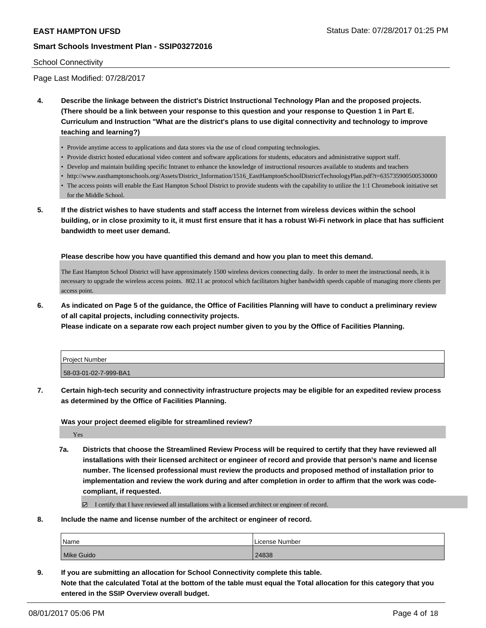#### School Connectivity

Page Last Modified: 07/28/2017

- **4. Describe the linkage between the district's District Instructional Technology Plan and the proposed projects. (There should be a link between your response to this question and your response to Question 1 in Part E. Curriculum and Instruction "What are the district's plans to use digital connectivity and technology to improve teaching and learning?)**
	- Provide anytime access to applications and data stores via the use of cloud computing technologies.
	- Provide district hosted educational video content and software applications for students, educators and administrative support staff.
	- Develop and maintain building specific Intranet to enhance the knowledge of instructional resources available to students and teachers
	- http://www.easthamptonschools.org/Assets/District\_Information/1516\_EastHamptonSchoolDistrictTechnologyPlan.pdf?t=635735900500530000
	- The access points will enable the East Hampton School District to provide students with the capability to utilize the 1:1 Chromebook initiative set for the Middle School.
- **5. If the district wishes to have students and staff access the Internet from wireless devices within the school building, or in close proximity to it, it must first ensure that it has a robust Wi-Fi network in place that has sufficient bandwidth to meet user demand.**

**Please describe how you have quantified this demand and how you plan to meet this demand.**

The East Hampton School District will have approximately 1500 wireless devices connecting daily. In order to meet the instructional needs, it is necessary to upgrade the wireless access points. 802.11 ac protocol which facilitators higher bandwidth speeds capable of managing more clients per access point.

**6. As indicated on Page 5 of the guidance, the Office of Facilities Planning will have to conduct a preliminary review of all capital projects, including connectivity projects.**

**Please indicate on a separate row each project number given to you by the Office of Facilities Planning.**

| Project Number        |  |
|-----------------------|--|
| 58-03-01-02-7-999-BA1 |  |

**7. Certain high-tech security and connectivity infrastructure projects may be eligible for an expedited review process as determined by the Office of Facilities Planning.**

**Was your project deemed eligible for streamlined review?**

Yes

**7a. Districts that choose the Streamlined Review Process will be required to certify that they have reviewed all installations with their licensed architect or engineer of record and provide that person's name and license number. The licensed professional must review the products and proposed method of installation prior to implementation and review the work during and after completion in order to affirm that the work was codecompliant, if requested.**

I certify that I have reviewed all installations with a licensed architect or engineer of record.

**8. Include the name and license number of the architect or engineer of record.**

| <sup>1</sup> Name | License Number |
|-------------------|----------------|
| Mike Guido        | 24838          |

**9. If you are submitting an allocation for School Connectivity complete this table. Note that the calculated Total at the bottom of the table must equal the Total allocation for this category that you entered in the SSIP Overview overall budget.**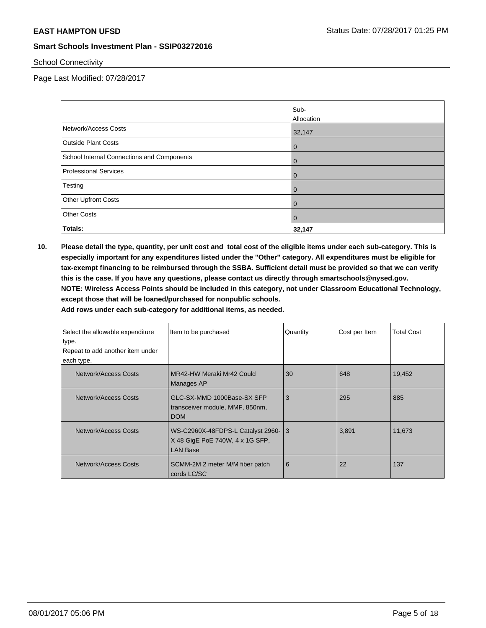School Connectivity

Page Last Modified: 07/28/2017

|                                            | Sub-<br>Allocation |
|--------------------------------------------|--------------------|
| Network/Access Costs                       | 32,147             |
| <b>Outside Plant Costs</b>                 | $\overline{0}$     |
| School Internal Connections and Components | $\overline{0}$     |
| <b>Professional Services</b>               | $\overline{0}$     |
| Testing                                    | $\overline{0}$     |
| Other Upfront Costs                        | $\mathbf{0}$       |
| <b>Other Costs</b>                         | $\overline{0}$     |
| Totals:                                    | 32,147             |

**10. Please detail the type, quantity, per unit cost and total cost of the eligible items under each sub-category. This is especially important for any expenditures listed under the "Other" category. All expenditures must be eligible for tax-exempt financing to be reimbursed through the SSBA. Sufficient detail must be provided so that we can verify this is the case. If you have any questions, please contact us directly through smartschools@nysed.gov. NOTE: Wireless Access Points should be included in this category, not under Classroom Educational Technology, except those that will be loaned/purchased for nonpublic schools.**

| Select the allowable expenditure<br>type.<br>Repeat to add another item under<br>each type. | Item to be purchased                                                                      | Quantity | Cost per Item | <b>Total Cost</b> |
|---------------------------------------------------------------------------------------------|-------------------------------------------------------------------------------------------|----------|---------------|-------------------|
| Network/Access Costs                                                                        | MR42-HW Meraki Mr42 Could<br>Manages AP                                                   | 30       | 648           | 19,452            |
| Network/Access Costs                                                                        | GLC-SX-MMD 1000Base-SX SFP<br>transceiver module, MMF, 850nm,<br><b>DOM</b>               | 3        | 295           | 885               |
| Network/Access Costs                                                                        | WS-C2960X-48FDPS-L Catalyst 2960-13<br>X 48 GigE PoE 740W, 4 x 1G SFP,<br><b>LAN Base</b> |          | 3,891         | 11,673            |
| Network/Access Costs                                                                        | SCMM-2M 2 meter M/M fiber patch<br>cords LC/SC                                            | 6        | 22            | 137               |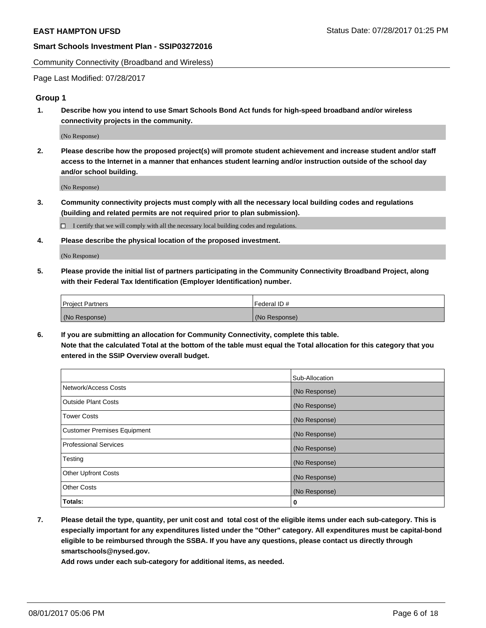Community Connectivity (Broadband and Wireless)

Page Last Modified: 07/28/2017

## **Group 1**

**1. Describe how you intend to use Smart Schools Bond Act funds for high-speed broadband and/or wireless connectivity projects in the community.**

(No Response)

**2. Please describe how the proposed project(s) will promote student achievement and increase student and/or staff access to the Internet in a manner that enhances student learning and/or instruction outside of the school day and/or school building.**

(No Response)

**3. Community connectivity projects must comply with all the necessary local building codes and regulations (building and related permits are not required prior to plan submission).**

 $\Box$  I certify that we will comply with all the necessary local building codes and regulations.

**4. Please describe the physical location of the proposed investment.**

(No Response)

**5. Please provide the initial list of partners participating in the Community Connectivity Broadband Project, along with their Federal Tax Identification (Employer Identification) number.**

| <b>Project Partners</b> | Federal ID#     |
|-------------------------|-----------------|
| (No Response)           | l (No Response) |

**6. If you are submitting an allocation for Community Connectivity, complete this table. Note that the calculated Total at the bottom of the table must equal the Total allocation for this category that you entered in the SSIP Overview overall budget.**

|                                    | Sub-Allocation |
|------------------------------------|----------------|
| Network/Access Costs               | (No Response)  |
| Outside Plant Costs                | (No Response)  |
| <b>Tower Costs</b>                 | (No Response)  |
| <b>Customer Premises Equipment</b> | (No Response)  |
| <b>Professional Services</b>       | (No Response)  |
| Testing                            | (No Response)  |
| <b>Other Upfront Costs</b>         | (No Response)  |
| <b>Other Costs</b>                 | (No Response)  |
| Totals:                            | 0              |

**7. Please detail the type, quantity, per unit cost and total cost of the eligible items under each sub-category. This is especially important for any expenditures listed under the "Other" category. All expenditures must be capital-bond eligible to be reimbursed through the SSBA. If you have any questions, please contact us directly through smartschools@nysed.gov.**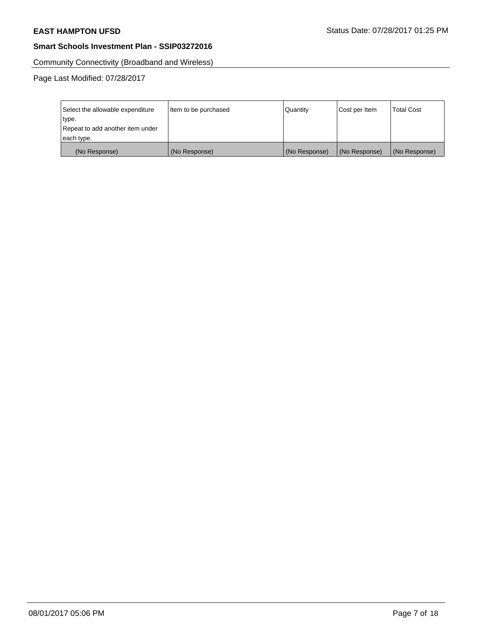Community Connectivity (Broadband and Wireless)

| Select the allowable expenditure | Item to be purchased | Quantity      | Cost per Item | <b>Total Cost</b> |
|----------------------------------|----------------------|---------------|---------------|-------------------|
| type.                            |                      |               |               |                   |
| Repeat to add another item under |                      |               |               |                   |
| each type.                       |                      |               |               |                   |
| (No Response)                    | (No Response)        | (No Response) | (No Response) | (No Response)     |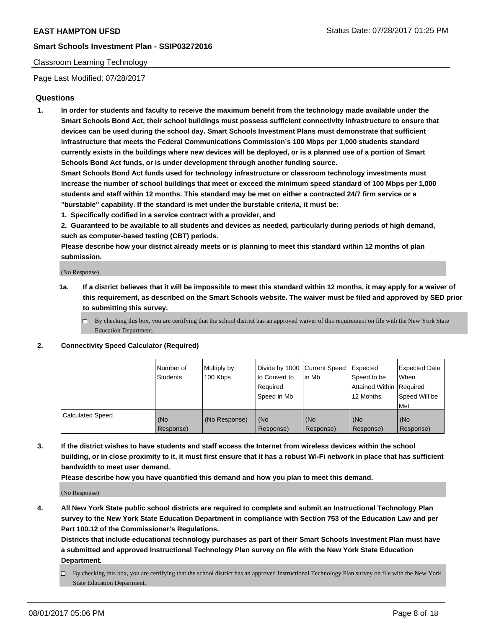## Classroom Learning Technology

Page Last Modified: 07/28/2017

# **Questions**

**1. In order for students and faculty to receive the maximum benefit from the technology made available under the Smart Schools Bond Act, their school buildings must possess sufficient connectivity infrastructure to ensure that devices can be used during the school day. Smart Schools Investment Plans must demonstrate that sufficient infrastructure that meets the Federal Communications Commission's 100 Mbps per 1,000 students standard currently exists in the buildings where new devices will be deployed, or is a planned use of a portion of Smart Schools Bond Act funds, or is under development through another funding source.**

**Smart Schools Bond Act funds used for technology infrastructure or classroom technology investments must increase the number of school buildings that meet or exceed the minimum speed standard of 100 Mbps per 1,000 students and staff within 12 months. This standard may be met on either a contracted 24/7 firm service or a "burstable" capability. If the standard is met under the burstable criteria, it must be:**

- **1. Specifically codified in a service contract with a provider, and**
- **2. Guaranteed to be available to all students and devices as needed, particularly during periods of high demand, such as computer-based testing (CBT) periods.**

**Please describe how your district already meets or is planning to meet this standard within 12 months of plan submission.**

(No Response)

- **1a. If a district believes that it will be impossible to meet this standard within 12 months, it may apply for a waiver of this requirement, as described on the Smart Schools website. The waiver must be filed and approved by SED prior to submitting this survey.**
	- $\Box$  By checking this box, you are certifying that the school district has an approved waiver of this requirement on file with the New York State Education Department.

#### **2. Connectivity Speed Calculator (Required)**

|                         | l Number of<br>Students | Multiply by<br>100 Kbps | Divide by 1000   Current Speed<br>to Convert to<br>Required<br>Speed in Mb | lin Mb           | Expected<br>Speed to be<br>Attained Within Required<br>12 Months | <b>Expected Date</b><br>When<br>Speed Will be<br>Met |
|-------------------------|-------------------------|-------------------------|----------------------------------------------------------------------------|------------------|------------------------------------------------------------------|------------------------------------------------------|
| <b>Calculated Speed</b> | (No<br>Response)        | (No Response)           | (No<br>Response)                                                           | (No<br>Response) | (No<br>Response)                                                 | (No<br>Response)                                     |

**3. If the district wishes to have students and staff access the Internet from wireless devices within the school building, or in close proximity to it, it must first ensure that it has a robust Wi-Fi network in place that has sufficient bandwidth to meet user demand.**

**Please describe how you have quantified this demand and how you plan to meet this demand.**

(No Response)

**4. All New York State public school districts are required to complete and submit an Instructional Technology Plan survey to the New York State Education Department in compliance with Section 753 of the Education Law and per Part 100.12 of the Commissioner's Regulations.**

**Districts that include educational technology purchases as part of their Smart Schools Investment Plan must have a submitted and approved Instructional Technology Plan survey on file with the New York State Education Department.**

 $\Box$  By checking this box, you are certifying that the school district has an approved Instructional Technology Plan survey on file with the New York State Education Department.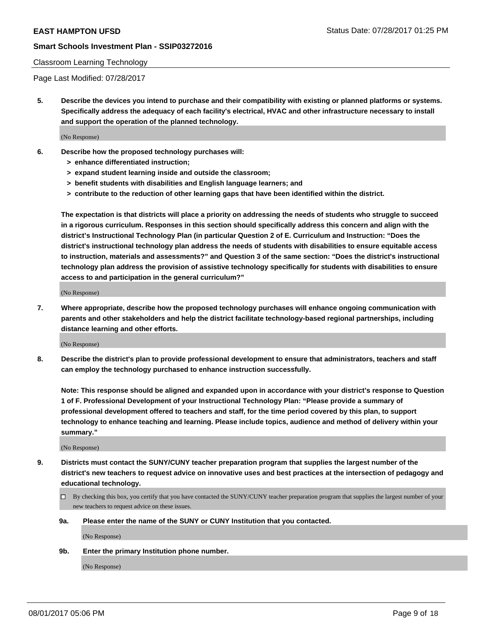#### Classroom Learning Technology

Page Last Modified: 07/28/2017

**5. Describe the devices you intend to purchase and their compatibility with existing or planned platforms or systems. Specifically address the adequacy of each facility's electrical, HVAC and other infrastructure necessary to install and support the operation of the planned technology.**

(No Response)

- **6. Describe how the proposed technology purchases will:**
	- **> enhance differentiated instruction;**
	- **> expand student learning inside and outside the classroom;**
	- **> benefit students with disabilities and English language learners; and**
	- **> contribute to the reduction of other learning gaps that have been identified within the district.**

**The expectation is that districts will place a priority on addressing the needs of students who struggle to succeed in a rigorous curriculum. Responses in this section should specifically address this concern and align with the district's Instructional Technology Plan (in particular Question 2 of E. Curriculum and Instruction: "Does the district's instructional technology plan address the needs of students with disabilities to ensure equitable access to instruction, materials and assessments?" and Question 3 of the same section: "Does the district's instructional technology plan address the provision of assistive technology specifically for students with disabilities to ensure access to and participation in the general curriculum?"**

(No Response)

**7. Where appropriate, describe how the proposed technology purchases will enhance ongoing communication with parents and other stakeholders and help the district facilitate technology-based regional partnerships, including distance learning and other efforts.**

(No Response)

**8. Describe the district's plan to provide professional development to ensure that administrators, teachers and staff can employ the technology purchased to enhance instruction successfully.**

**Note: This response should be aligned and expanded upon in accordance with your district's response to Question 1 of F. Professional Development of your Instructional Technology Plan: "Please provide a summary of professional development offered to teachers and staff, for the time period covered by this plan, to support technology to enhance teaching and learning. Please include topics, audience and method of delivery within your summary."**

(No Response)

- **9. Districts must contact the SUNY/CUNY teacher preparation program that supplies the largest number of the district's new teachers to request advice on innovative uses and best practices at the intersection of pedagogy and educational technology.**
	- By checking this box, you certify that you have contacted the SUNY/CUNY teacher preparation program that supplies the largest number of your new teachers to request advice on these issues.
	- **9a. Please enter the name of the SUNY or CUNY Institution that you contacted.**

(No Response)

**9b. Enter the primary Institution phone number.**

(No Response)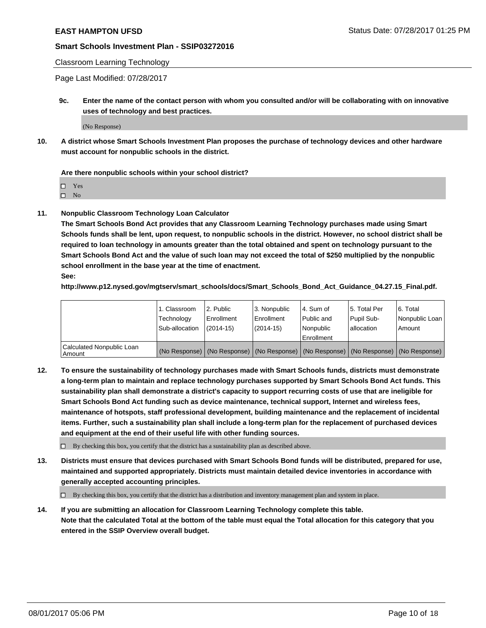#### Classroom Learning Technology

Page Last Modified: 07/28/2017

**9c. Enter the name of the contact person with whom you consulted and/or will be collaborating with on innovative uses of technology and best practices.**

(No Response)

**10. A district whose Smart Schools Investment Plan proposes the purchase of technology devices and other hardware must account for nonpublic schools in the district.**

**Are there nonpublic schools within your school district?**

Yes

 $\square$  No

**11. Nonpublic Classroom Technology Loan Calculator**

**The Smart Schools Bond Act provides that any Classroom Learning Technology purchases made using Smart Schools funds shall be lent, upon request, to nonpublic schools in the district. However, no school district shall be required to loan technology in amounts greater than the total obtained and spent on technology pursuant to the Smart Schools Bond Act and the value of such loan may not exceed the total of \$250 multiplied by the nonpublic school enrollment in the base year at the time of enactment.**

**See:**

**http://www.p12.nysed.gov/mgtserv/smart\_schools/docs/Smart\_Schools\_Bond\_Act\_Guidance\_04.27.15\_Final.pdf.**

|                                       | 1. Classroom   | l 2. Public   | 3. Nonpublic | l 4. Sum of | 15. Total Per                                                                                 | 6. Total       |
|---------------------------------------|----------------|---------------|--------------|-------------|-----------------------------------------------------------------------------------------------|----------------|
|                                       | Technology     | Enrollment    | Enrollment   | Public and  | Pupil Sub-                                                                                    | Nonpublic Loan |
|                                       | Sub-allocation | $(2014 - 15)$ | $(2014-15)$  | l Nonpublic | allocation                                                                                    | Amount         |
|                                       |                |               |              | Enrollment  |                                                                                               |                |
| Calculated Nonpublic Loan<br>  Amount |                |               |              |             | (No Response)   (No Response)   (No Response)   (No Response)   (No Response)   (No Response) |                |

**12. To ensure the sustainability of technology purchases made with Smart Schools funds, districts must demonstrate a long-term plan to maintain and replace technology purchases supported by Smart Schools Bond Act funds. This sustainability plan shall demonstrate a district's capacity to support recurring costs of use that are ineligible for Smart Schools Bond Act funding such as device maintenance, technical support, Internet and wireless fees, maintenance of hotspots, staff professional development, building maintenance and the replacement of incidental items. Further, such a sustainability plan shall include a long-term plan for the replacement of purchased devices and equipment at the end of their useful life with other funding sources.**

 $\Box$  By checking this box, you certify that the district has a sustainability plan as described above.

**13. Districts must ensure that devices purchased with Smart Schools Bond funds will be distributed, prepared for use, maintained and supported appropriately. Districts must maintain detailed device inventories in accordance with generally accepted accounting principles.**

By checking this box, you certify that the district has a distribution and inventory management plan and system in place.

**14. If you are submitting an allocation for Classroom Learning Technology complete this table. Note that the calculated Total at the bottom of the table must equal the Total allocation for this category that you entered in the SSIP Overview overall budget.**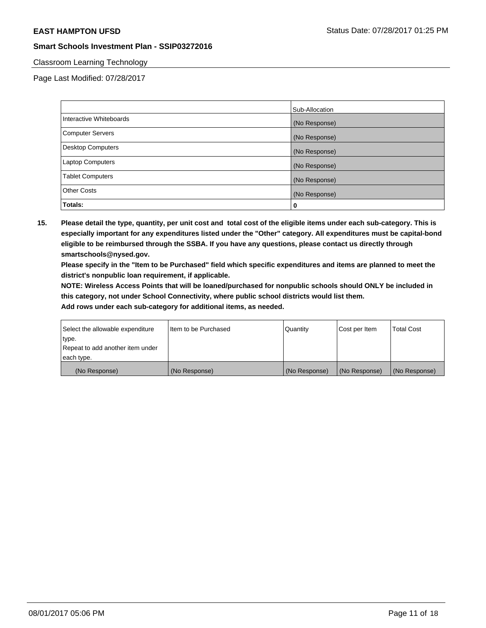## Classroom Learning Technology

Page Last Modified: 07/28/2017

|                          | Sub-Allocation |
|--------------------------|----------------|
| Interactive Whiteboards  | (No Response)  |
| Computer Servers         | (No Response)  |
| <b>Desktop Computers</b> | (No Response)  |
| <b>Laptop Computers</b>  | (No Response)  |
| <b>Tablet Computers</b>  | (No Response)  |
| <b>Other Costs</b>       | (No Response)  |
| Totals:                  | 0              |

**15. Please detail the type, quantity, per unit cost and total cost of the eligible items under each sub-category. This is especially important for any expenditures listed under the "Other" category. All expenditures must be capital-bond eligible to be reimbursed through the SSBA. If you have any questions, please contact us directly through smartschools@nysed.gov.**

**Please specify in the "Item to be Purchased" field which specific expenditures and items are planned to meet the district's nonpublic loan requirement, if applicable.**

**NOTE: Wireless Access Points that will be loaned/purchased for nonpublic schools should ONLY be included in this category, not under School Connectivity, where public school districts would list them.**

| Select the allowable expenditure<br>∣type. | Iltem to be Purchased | Quantity      | Cost per Item | <b>Total Cost</b> |
|--------------------------------------------|-----------------------|---------------|---------------|-------------------|
| Repeat to add another item under           |                       |               |               |                   |
| each type.                                 |                       |               |               |                   |
| (No Response)                              | (No Response)         | (No Response) | (No Response) | (No Response)     |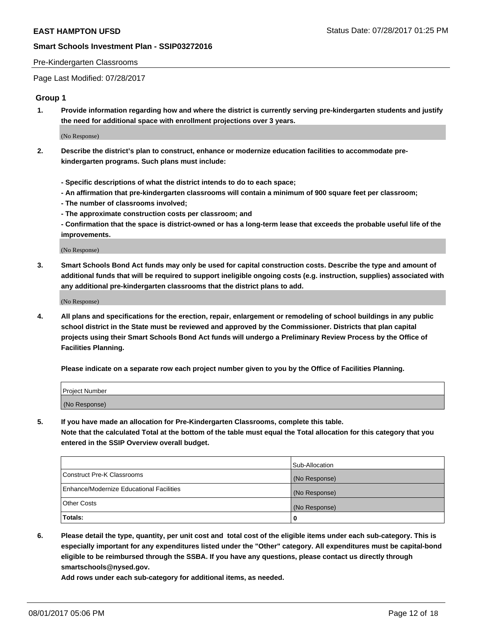#### Pre-Kindergarten Classrooms

Page Last Modified: 07/28/2017

## **Group 1**

**1. Provide information regarding how and where the district is currently serving pre-kindergarten students and justify the need for additional space with enrollment projections over 3 years.**

(No Response)

- **2. Describe the district's plan to construct, enhance or modernize education facilities to accommodate prekindergarten programs. Such plans must include:**
	- **Specific descriptions of what the district intends to do to each space;**
	- **An affirmation that pre-kindergarten classrooms will contain a minimum of 900 square feet per classroom;**
	- **The number of classrooms involved;**
	- **The approximate construction costs per classroom; and**
	- **Confirmation that the space is district-owned or has a long-term lease that exceeds the probable useful life of the improvements.**

(No Response)

**3. Smart Schools Bond Act funds may only be used for capital construction costs. Describe the type and amount of additional funds that will be required to support ineligible ongoing costs (e.g. instruction, supplies) associated with any additional pre-kindergarten classrooms that the district plans to add.**

(No Response)

**4. All plans and specifications for the erection, repair, enlargement or remodeling of school buildings in any public school district in the State must be reviewed and approved by the Commissioner. Districts that plan capital projects using their Smart Schools Bond Act funds will undergo a Preliminary Review Process by the Office of Facilities Planning.**

**Please indicate on a separate row each project number given to you by the Office of Facilities Planning.**

| Project Number |  |
|----------------|--|
| (No Response)  |  |

**5. If you have made an allocation for Pre-Kindergarten Classrooms, complete this table. Note that the calculated Total at the bottom of the table must equal the Total allocation for this category that you entered in the SSIP Overview overall budget.**

| Totals:                                  | 0              |
|------------------------------------------|----------------|
| Other Costs                              | (No Response)  |
| Enhance/Modernize Educational Facilities | (No Response)  |
| Construct Pre-K Classrooms               | (No Response)  |
|                                          | Sub-Allocation |

**6. Please detail the type, quantity, per unit cost and total cost of the eligible items under each sub-category. This is especially important for any expenditures listed under the "Other" category. All expenditures must be capital-bond eligible to be reimbursed through the SSBA. If you have any questions, please contact us directly through smartschools@nysed.gov.**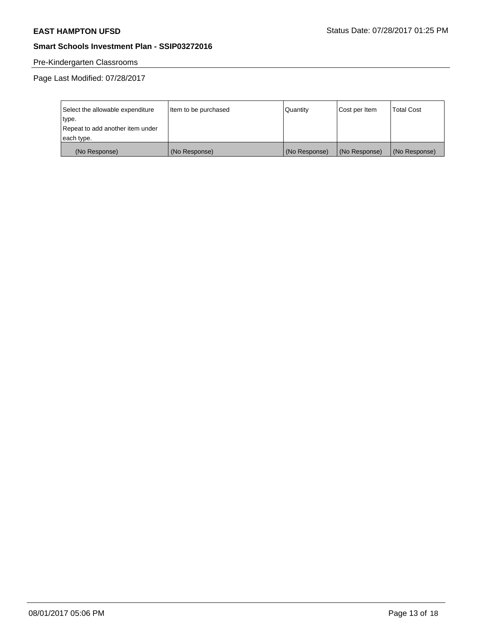# Pre-Kindergarten Classrooms

| Select the allowable expenditure | Item to be purchased | Quantity      | Cost per Item | <b>Total Cost</b> |
|----------------------------------|----------------------|---------------|---------------|-------------------|
| type.                            |                      |               |               |                   |
| Repeat to add another item under |                      |               |               |                   |
| each type.                       |                      |               |               |                   |
| (No Response)                    | (No Response)        | (No Response) | (No Response) | (No Response)     |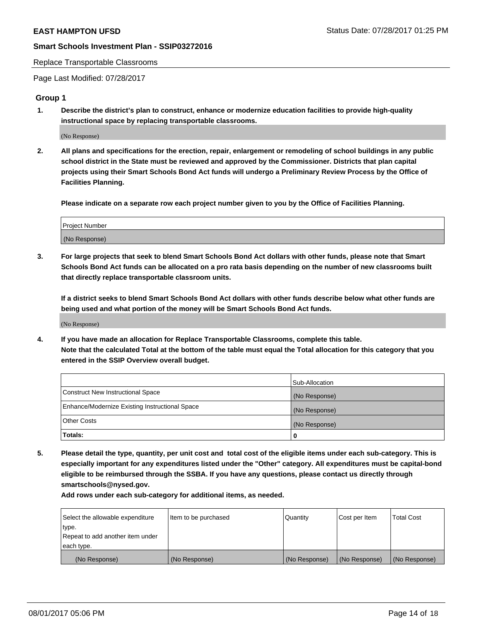#### Replace Transportable Classrooms

Page Last Modified: 07/28/2017

## **Group 1**

**1. Describe the district's plan to construct, enhance or modernize education facilities to provide high-quality instructional space by replacing transportable classrooms.**

(No Response)

**2. All plans and specifications for the erection, repair, enlargement or remodeling of school buildings in any public school district in the State must be reviewed and approved by the Commissioner. Districts that plan capital projects using their Smart Schools Bond Act funds will undergo a Preliminary Review Process by the Office of Facilities Planning.**

**Please indicate on a separate row each project number given to you by the Office of Facilities Planning.**

| Project Number |  |
|----------------|--|
| (No Response)  |  |

**3. For large projects that seek to blend Smart Schools Bond Act dollars with other funds, please note that Smart Schools Bond Act funds can be allocated on a pro rata basis depending on the number of new classrooms built that directly replace transportable classroom units.**

**If a district seeks to blend Smart Schools Bond Act dollars with other funds describe below what other funds are being used and what portion of the money will be Smart Schools Bond Act funds.**

(No Response)

**4. If you have made an allocation for Replace Transportable Classrooms, complete this table. Note that the calculated Total at the bottom of the table must equal the Total allocation for this category that you entered in the SSIP Overview overall budget.**

|                                                | Sub-Allocation |
|------------------------------------------------|----------------|
| Construct New Instructional Space              | (No Response)  |
| Enhance/Modernize Existing Instructional Space | (No Response)  |
| Other Costs                                    | (No Response)  |
| Totals:                                        | $\Omega$       |

**5. Please detail the type, quantity, per unit cost and total cost of the eligible items under each sub-category. This is especially important for any expenditures listed under the "Other" category. All expenditures must be capital-bond eligible to be reimbursed through the SSBA. If you have any questions, please contact us directly through smartschools@nysed.gov.**

| Select the allowable expenditure | Item to be purchased | Quantity      | Cost per Item | <b>Total Cost</b> |
|----------------------------------|----------------------|---------------|---------------|-------------------|
| type.                            |                      |               |               |                   |
| Repeat to add another item under |                      |               |               |                   |
| each type.                       |                      |               |               |                   |
| (No Response)                    | (No Response)        | (No Response) | (No Response) | (No Response)     |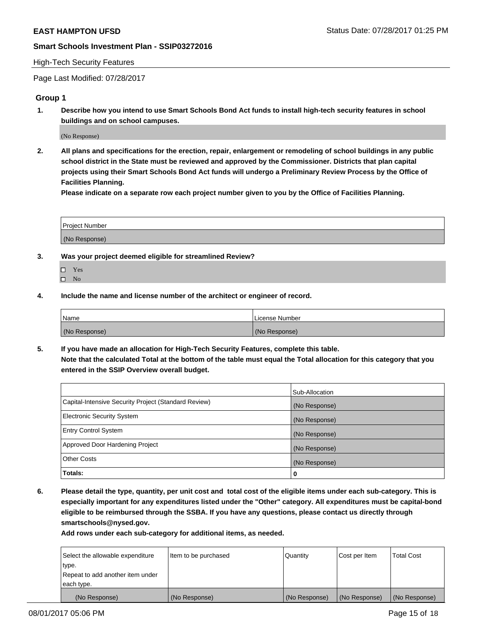#### High-Tech Security Features

Page Last Modified: 07/28/2017

## **Group 1**

**1. Describe how you intend to use Smart Schools Bond Act funds to install high-tech security features in school buildings and on school campuses.**

(No Response)

**2. All plans and specifications for the erection, repair, enlargement or remodeling of school buildings in any public school district in the State must be reviewed and approved by the Commissioner. Districts that plan capital projects using their Smart Schools Bond Act funds will undergo a Preliminary Review Process by the Office of Facilities Planning.** 

**Please indicate on a separate row each project number given to you by the Office of Facilities Planning.**

| Project Number |  |
|----------------|--|
|                |  |
| (No Response)  |  |

- **3. Was your project deemed eligible for streamlined Review?**
	- Yes  $\hfill \square$  No
- **4. Include the name and license number of the architect or engineer of record.**

| <b>Name</b>   | License Number |
|---------------|----------------|
| (No Response) | (No Response)  |

**5. If you have made an allocation for High-Tech Security Features, complete this table. Note that the calculated Total at the bottom of the table must equal the Total allocation for this category that you entered in the SSIP Overview overall budget.**

|                                                      | Sub-Allocation |
|------------------------------------------------------|----------------|
| Capital-Intensive Security Project (Standard Review) | (No Response)  |
| Electronic Security System                           | (No Response)  |
| <b>Entry Control System</b>                          | (No Response)  |
| Approved Door Hardening Project                      | (No Response)  |
| <b>Other Costs</b>                                   | (No Response)  |
| Totals:                                              | 0              |

**6. Please detail the type, quantity, per unit cost and total cost of the eligible items under each sub-category. This is especially important for any expenditures listed under the "Other" category. All expenditures must be capital-bond eligible to be reimbursed through the SSBA. If you have any questions, please contact us directly through smartschools@nysed.gov.**

| (No Response)                    | (No Response)        | (No Response)   | (No Response) | (No Response)     |
|----------------------------------|----------------------|-----------------|---------------|-------------------|
| each type.                       |                      |                 |               |                   |
| Repeat to add another item under |                      |                 |               |                   |
| type.                            |                      |                 |               |                   |
| Select the allowable expenditure | Item to be purchased | <b>Quantity</b> | Cost per Item | <b>Total Cost</b> |
|                                  |                      |                 |               |                   |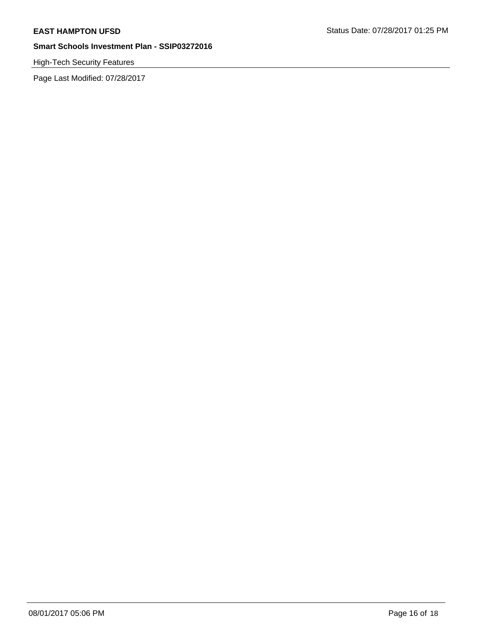# High-Tech Security Features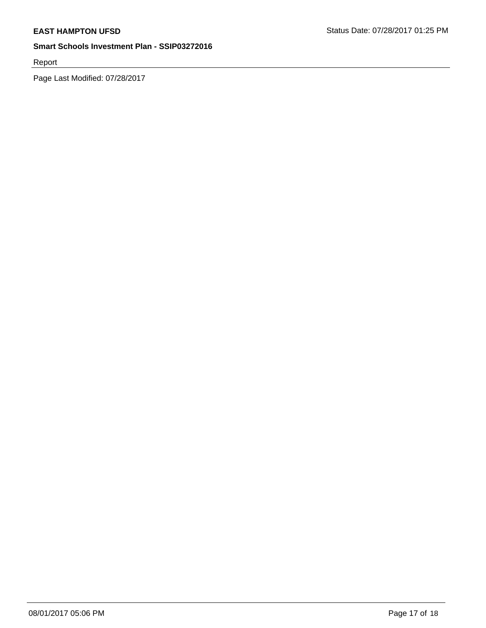Report